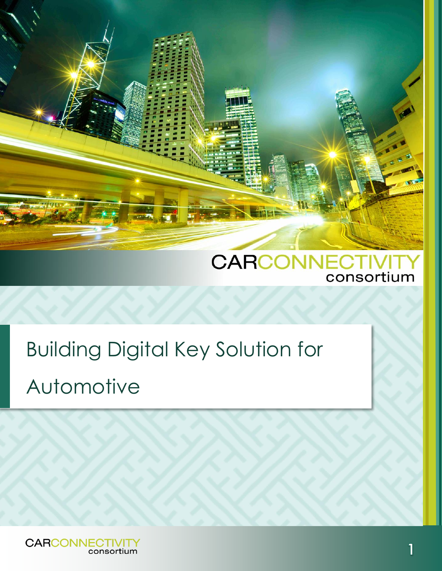

# Building Digital Key Solution for Automotive

**CARCONNECTIVITY** consortium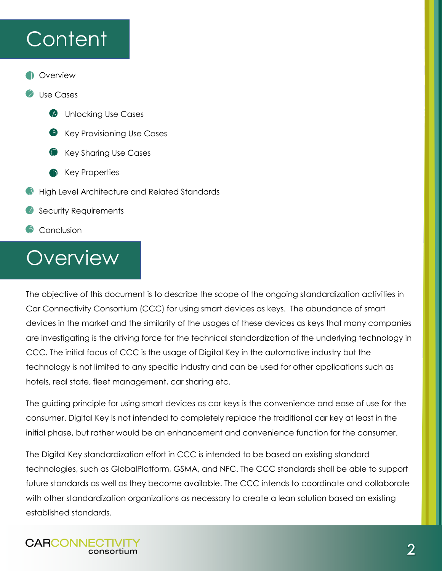## **Content**

**Overview** 

#### Use Cases

- $(A)$ Unlocking Use Cases
- Key Provisioning Use Cases
- Key Sharing Use Cases
- Key Properties
- High Level Architecture and Related Standards
- Security Requirements
- Conclusion

## **Overview**

**CARCONNECTIVIT** 

consortium

The objective of this document is to describe the scope of the ongoing standardization activities in Car Connectivity Consortium (CCC) for using smart devices as keys. The abundance of smart devices in the market and the similarity of the usages of these devices as keys that many companies are investigating is the driving force for the technical standardization of the underlying technology in CCC. The initial focus of CCC is the usage of Digital Key in the automotive industry but the technology is not limited to any specific industry and can be used for other applications such as hotels, real state, fleet management, car sharing etc.

The guiding principle for using smart devices as car keys is the convenience and ease of use for the consumer. Digital Key is not intended to completely replace the traditional car key at least in the initial phase, but rather would be an enhancement and convenience function for the consumer.

The Digital Key standardization effort in CCC is intended to be based on existing standard technologies, such as GlobalPlatform, GSMA, and NFC. The CCC standards shall be able to support future standards as well as they become available. The CCC intends to coordinate and collaborate with other standardization organizations as necessary to create a lean solution based on existing established standards.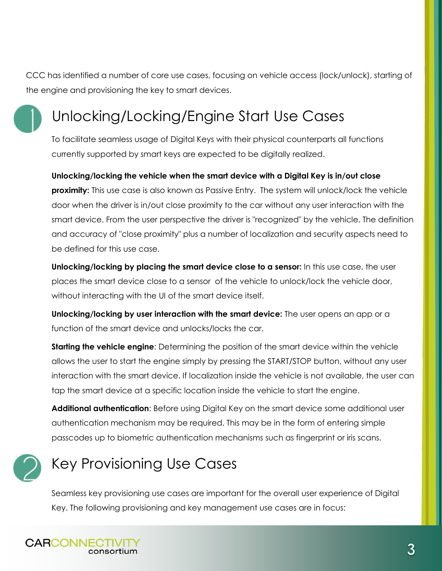CCC has identified a number of core use cases, focusing on vehicle access (lock/unlock), starting of the engine and provisioning the key to smart devices.



### Unlocking/Locking/Engine Start Use Cases

To facilitate seamless usage of Digital Keys with their physical counterparts all functions currently supported by smart keys are expected to be digitally realized.

**Unlocking/locking the vehicle when the smart device with a Digital Key is in/out close proximity:** This use case is also known as Passive Entry. The system will unlock/lock the vehicle door when the driver is in/out close proximity to the car without any user interaction with the smart device. From the user perspective the driver is "recognized" by the vehicle. The definition and accuracy of "close proximity" plus a number of localization and security aspects need to be defined for this use case.

**Unlocking/locking by placing the smart device close to a sensor:** In this use case, the user places the smart device close to a sensor of the vehicle to unlock/lock the vehicle door, without interacting with the UI of the smart device itself.

**Unlocking/locking by user interaction with the smart device:** The user opens an app or a function of the smart device and unlocks/locks the car.

**Starting the vehicle engine**: Determining the position of the smart device within the vehicle allows the user to start the engine simply by pressing the START/STOP button, without any user interaction with the smart device. If localization inside the vehicle is not available, the user can tap the smart device at a specific location inside the vehicle to start the engine.

**Additional authentication**: Before using Digital Key on the smart device some additional user authentication mechanism may be required. This may be in the form of entering simple passcodes up to biometric authentication mechanisms such as fingerprint or iris scans.



### Key Provisioning Use Cases

Seamless key provisioning use cases are important for the overall user experience of Digital Key. The following provisioning and key management use cases are in focus:

**CARCONNECTIVIT** consortium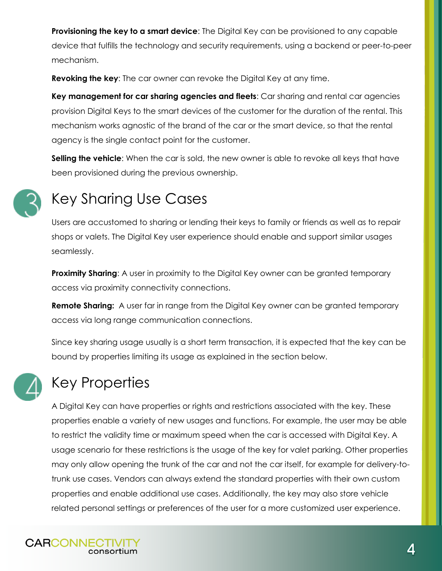**Provisioning the key to a smart device**: The Digital Key can be provisioned to any capable device that fulfills the technology and security requirements, using a backend or peer-to-peer mechanism.

**Revoking the key**: The car owner can revoke the Digital Key at any time.

**Key management for car sharing agencies and fleets**: Car sharing and rental car agencies provision Digital Keys to the smart devices of the customer for the duration of the rental. This mechanism works agnostic of the brand of the car or the smart device, so that the rental agency is the single contact point for the customer.

**Selling the vehicle**: When the car is sold, the new owner is able to revoke all keys that have been provisioned during the previous ownership.



#### Key Sharing Use Cases

Users are accustomed to sharing or lending their keys to family or friends as well as to repair shops or valets. The Digital Key user experience should enable and support similar usages seamlessly.

**Proximity Sharing:** A user in proximity to the Digital Key owner can be granted temporary access via proximity connectivity connections.

**Remote Sharing:** A user far in range from the Digital Key owner can be granted temporary access via long range communication connections.

Since key sharing usage usually is a short term transaction, it is expected that the key can be bound by properties limiting its usage as explained in the section below.



#### Key Properties

A Digital Key can have properties or rights and restrictions associated with the key. These properties enable a variety of new usages and functions. For example, the user may be able to restrict the validity time or maximum speed when the car is accessed with Digital Key. A usage scenario for these restrictions is the usage of the key for valet parking. Other properties may only allow opening the trunk of the car and not the car itself, for example for delivery-totrunk use cases. Vendors can always extend the standard properties with their own custom properties and enable additional use cases. Additionally, the key may also store vehicle related personal settings or preferences of the user for a more customized user experience.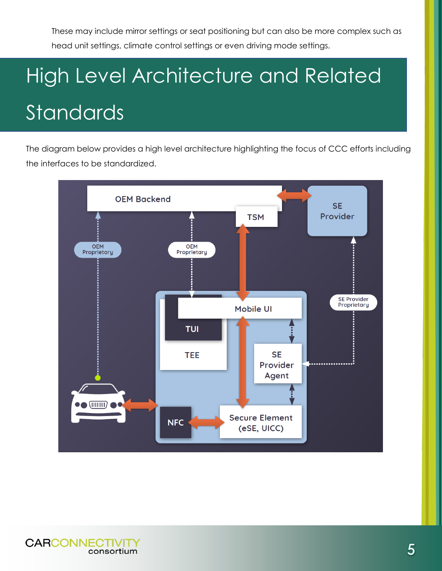These may include mirror settings or seat positioning but can also be more complex such as head unit settings, climate control settings or even driving mode settings.

# High Level Architecture and Related Standards

The diagram below provides a high level architecture highlighting the focus of CCC efforts including the interfaces to be standardized.

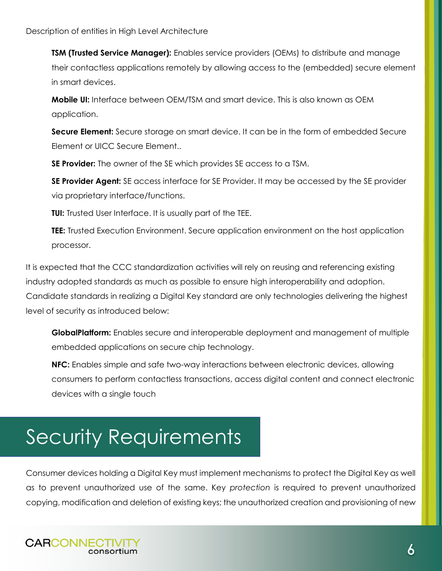**TSM (Trusted Service Manager):** Enables service providers (OEMs) to distribute and manage their contactless applications remotely by allowing access to the (embedded) secure element in smart devices.

**Mobile UI:** Interface between OEM/TSM and smart device. This is also known as OEM application.

**Secure Element:** Secure storage on smart device. It can be in the form of embedded Secure Element or UICC Secure Element..

**SE Provider:** The owner of the SE which provides SE access to a TSM.

**SE Provider Agent:** SE access interface for SE Provider. It may be accessed by the SE provider via proprietary interface/functions.

**TUI:** Trusted User Interface. It is usually part of the TEE.

**TEE:** Trusted Execution Environment. Secure application environment on the host application processor.

It is expected that the CCC standardization activities will rely on reusing and referencing existing industry adopted standards as much as possible to ensure high interoperability and adoption. Candidate standards in realizing a Digital Key standard are only technologies delivering the highest level of security as introduced below:

**GlobalPlatform:** Enables secure and interoperable deployment and management of multiple embedded applications on secure chip technology.

**NFC:** Enables simple and safe two-way interactions between electronic devices, allowing consumers to perform contactless transactions, access digital content and connect electronic devices with a single touch

## Security Requirements

Consumer devices holding a Digital Key must implement mechanisms to protect the Digital Key as well as to prevent unauthorized use of the same. Key *protection* is required to prevent unauthorized copying, modification and deletion of existing keys; the unauthorized creation and provisioning of new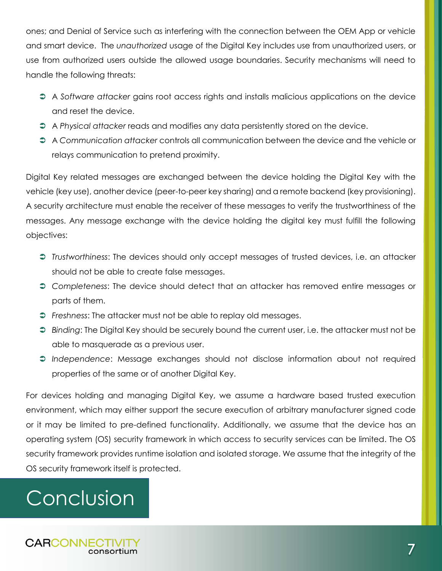ones; and Denial of Service such as interfering with the connection between the OEM App or vehicle and smart device. The *unauthorized* usage of the Digital Key includes use from unauthorized users, or use from authorized users outside the allowed usage boundaries. Security mechanisms will need to handle the following threats:

- A *Software attacker* gains root access rights and installs malicious applications on the device and reset the device.
- A *Physical attacker* reads and modifies any data persistently stored on the device.
- A *Communication attacker* controls all communication between the device and the vehicle or relays communication to pretend proximity.

Digital Key related messages are exchanged between the device holding the Digital Key with the vehicle (key use), another device (peer-to-peer key sharing) and a remote backend (key provisioning). A security architecture must enable the receiver of these messages to verify the trustworthiness of the messages. Any message exchange with the device holding the digital key must fulfill the following objectives:

- *Trustworthiness*: The devices should only accept messages of trusted devices, i.e. an attacker should not be able to create false messages.
- *Completeness*: The device should detect that an attacker has removed entire messages or parts of them.
- *Freshness*: The attacker must not be able to replay old messages.
- *Binding*: The Digital Key should be securely bound the current user, i.e. the attacker must not be able to masquerade as a previous user.
- *Independence*: Message exchanges should not disclose information about not required properties of the same or of another Digital Key.

For devices holding and managing Digital Key, we assume a hardware based trusted execution environment, which may either support the secure execution of arbitrary manufacturer signed code or it may be limited to pre-defined functionality. Additionally, we assume that the device has an operating system (OS) security framework in which access to security services can be limited. The OS security framework provides runtime isolation and isolated storage. We assume that the integrity of the OS security framework itself is protected.

## **Conclusion**

**CARCONNECTIVIT** consortium